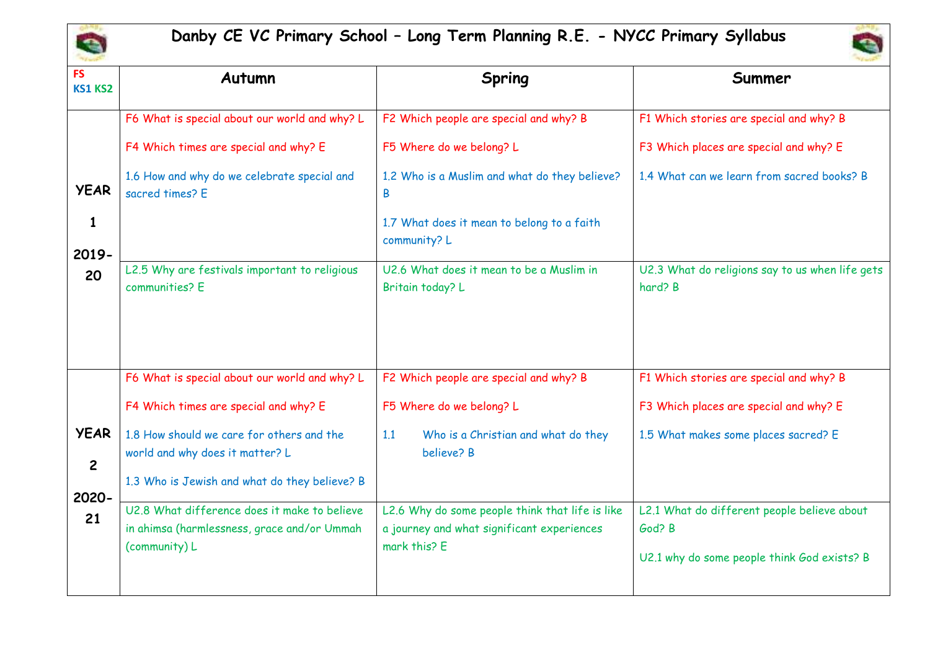

## **Danby CE VC Primary School – Long Term Planning R.E. - NYCC Primary Syllabus**



| <b>FS</b><br><b>KS1 KS2</b>                  | Autumn                                                                                                                                                                                                                                                                                                                                  | <b>Spring</b>                                                                                                                                                                                                                                          | Summer                                                                                                                                                                                                                            |
|----------------------------------------------|-----------------------------------------------------------------------------------------------------------------------------------------------------------------------------------------------------------------------------------------------------------------------------------------------------------------------------------------|--------------------------------------------------------------------------------------------------------------------------------------------------------------------------------------------------------------------------------------------------------|-----------------------------------------------------------------------------------------------------------------------------------------------------------------------------------------------------------------------------------|
| <b>YEAR</b><br>1<br>2019-<br>20              | F6 What is special about our world and why? L<br>F4 Which times are special and why? E<br>1.6 How and why do we celebrate special and<br>sacred times? E<br>L2.5 Why are festivals important to religious<br>communities? E                                                                                                             | F2 Which people are special and why? B<br>F5 Where do we belong? L<br>1.2 Who is a Muslim and what do they believe?<br>B<br>1.7 What does it mean to belong to a faith<br>community? L<br>U2.6 What does it mean to be a Muslim in<br>Britain today? L | F1 Which stories are special and why? B<br>F3 Which places are special and why? E<br>1.4 What can we learn from sacred books? B<br>U2.3 What do religions say to us when life gets<br>hard? B                                     |
| <b>YEAR</b><br>$\overline{2}$<br>2020-<br>21 | F6 What is special about our world and why? L<br>F4 Which times are special and why? E<br>1.8 How should we care for others and the<br>world and why does it matter? L<br>1.3 Who is Jewish and what do they believe? B<br>U2.8 What difference does it make to believe<br>in ahimsa (harmlessness, grace and/or Ummah<br>(community) L | F2 Which people are special and why? B<br>F5 Where do we belong? L<br>Who is a Christian and what do they<br>1.1<br>believe? B<br>L2.6 Why do some people think that life is like<br>a journey and what significant experiences<br>mark this? E        | F1 Which stories are special and why? B<br>F3 Which places are special and why? E<br>1.5 What makes some places sacred? E<br>L2.1 What do different people believe about<br>God? B<br>U2.1 why do some people think God exists? B |